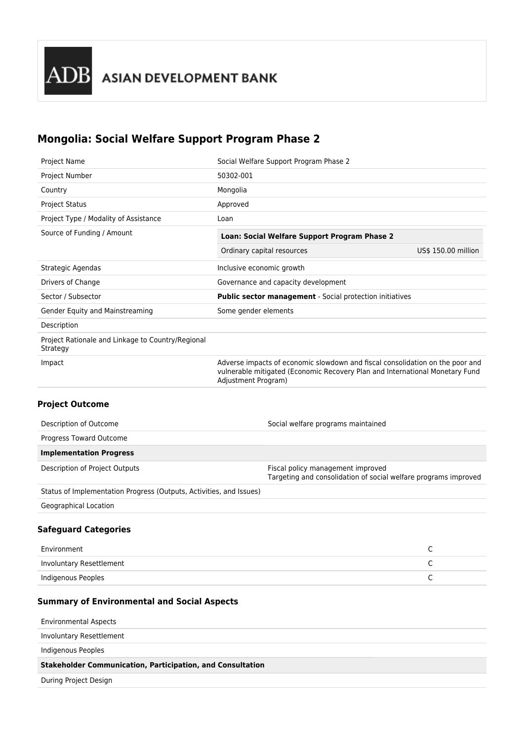# **Mongolia: Social Welfare Support Program Phase 2**

| Project Name                                                  | Social Welfare Support Program Phase 2                                                                                                                                               |                     |
|---------------------------------------------------------------|--------------------------------------------------------------------------------------------------------------------------------------------------------------------------------------|---------------------|
| Project Number                                                | 50302-001                                                                                                                                                                            |                     |
| Country                                                       | Mongolia                                                                                                                                                                             |                     |
| <b>Project Status</b>                                         | Approved                                                                                                                                                                             |                     |
| Project Type / Modality of Assistance                         | Loan                                                                                                                                                                                 |                     |
| Source of Funding / Amount                                    | Loan: Social Welfare Support Program Phase 2                                                                                                                                         |                     |
|                                                               | Ordinary capital resources                                                                                                                                                           | US\$ 150.00 million |
| Strategic Agendas                                             | Inclusive economic growth                                                                                                                                                            |                     |
| Drivers of Change                                             | Governance and capacity development                                                                                                                                                  |                     |
| Sector / Subsector                                            | Public sector management - Social protection initiatives                                                                                                                             |                     |
| Gender Equity and Mainstreaming                               | Some gender elements                                                                                                                                                                 |                     |
| Description                                                   |                                                                                                                                                                                      |                     |
| Project Rationale and Linkage to Country/Regional<br>Strategy |                                                                                                                                                                                      |                     |
| Impact                                                        | Adverse impacts of economic slowdown and fiscal consolidation on the poor and<br>vulnerable mitigated (Economic Recovery Plan and International Monetary Fund<br>Adjustment Program) |                     |
| <b>Project Outcome</b>                                        |                                                                                                                                                                                      |                     |
| Description of Outcome                                        | Social welfare programs maintained                                                                                                                                                   |                     |
| Progress Toward Outcome                                       |                                                                                                                                                                                      |                     |
| <b>Implementation Progress</b>                                |                                                                                                                                                                                      |                     |

| Description of Project Outputs | Fiscal policy management improved                               |
|--------------------------------|-----------------------------------------------------------------|
|                                | Targeting and consolidation of social welfare programs improved |

Status of Implementation Progress (Outputs, Activities, and Issues)

Geographical Location

## **Safeguard Categories**

| Environment              |  |
|--------------------------|--|
| Involuntary Resettlement |  |
| Indigenous Peoples       |  |

## **Summary of Environmental and Social Aspects**

Environmental Aspects

Involuntary Resettlement

Indigenous Peoples

**Stakeholder Communication, Participation, and Consultation**

During Project Design